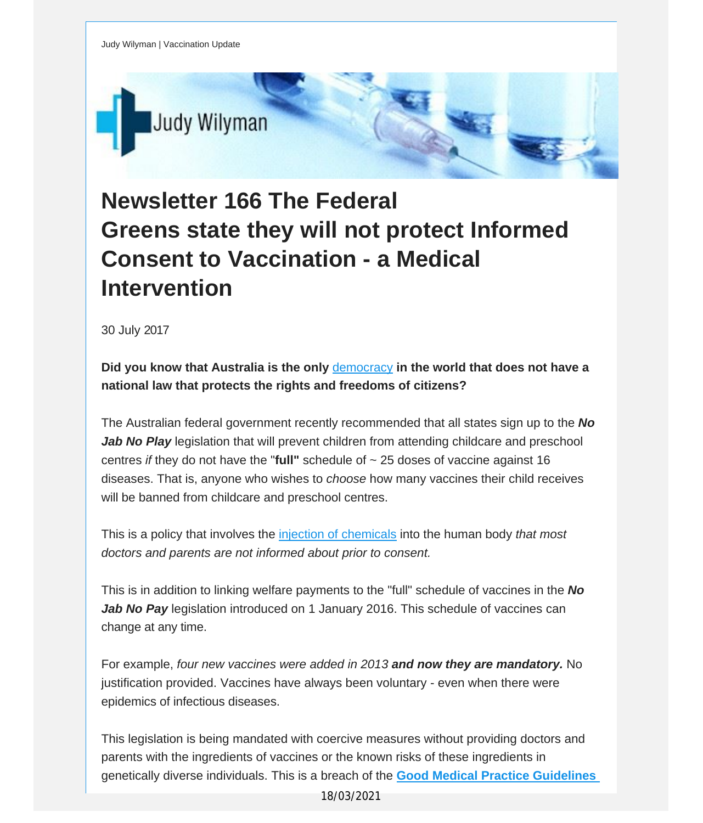Judy Wilyman | Vaccination Update



## **Newsletter 166 The Federal Greens state they will not protect Informed Consent to Vaccination - a Medical Intervention**

30 July 2017

**Did you know that Australia is the only** [democracy](http://vaccinationdecisions.us8.list-manage.com/track/click?u=f20605fde3732e41929f4a3f2&id=1426529a38&e=fec8337d3c) **in the world that does not have a national law that protects the rights and freedoms of citizens?**

The Australian federal government recently recommended that all states sign up to the *No Jab No Play* legislation that will prevent children from attending childcare and preschool centres *if* they do not have the "**full"** schedule of ~ 25 doses of vaccine against 16 diseases. That is, anyone who wishes to *choose* how many vaccines their child receives will be banned from childcare and preschool centres.

This is a policy that involves the injection of [chemicals](http://vaccinationdecisions.us8.list-manage1.com/track/click?u=f20605fde3732e41929f4a3f2&id=d41d5dc130&e=fec8337d3c) into the human body *that most doctors and parents are not informed about prior to consent.*

This is in addition to linking welfare payments to the "full" schedule of vaccines in the *No Jab No Pay* legislation introduced on 1 January 2016. This schedule of vaccines can change at any time.

For example, *four new vaccines were added in 2013 and now they are mandatory.* No justification provided. Vaccines have always been voluntary - even when there were epidemics of infectious diseases.

This legislation is being mandated with coercive measures without providing doctors and parents with the ingredients of vaccines or the known risks of these ingredients in genetically diverse individuals. This is a breach of the **Good Medical Practice [Guidelines](http://vaccinationdecisions.us8.list-manage1.com/track/click?u=f20605fde3732e41929f4a3f2&id=ea08916a14&e=fec8337d3c)**

18/03/2021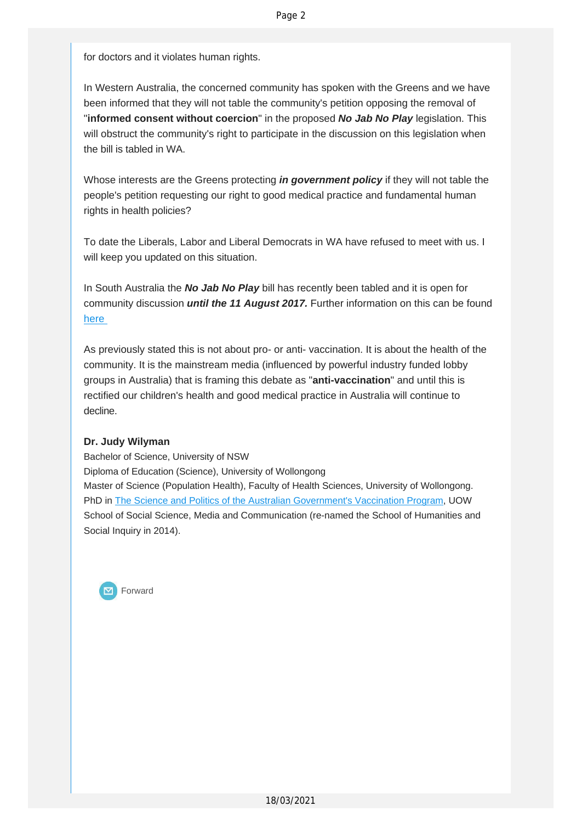for doctors and it violates human rights.

In Western Australia, the concerned community has spoken with the Greens and we have been informed that they will not table the community's petition opposing the removal of "**informed consent without coercion**" in the proposed *No Jab No Play* legislation. This will obstruct the community's right to participate in the discussion on this legislation when the bill is tabled in WA.

Whose interests are the Greens protecting *in government policy* if they will not table the people's petition requesting our right to good medical practice and fundamental human rights in health policies?

To date the Liberals, Labor and Liberal Democrats in WA have refused to meet with us. I will keep you updated on this situation.

In South Australia the *No Jab No Play* bill has recently been tabled and it is open for community discussion *until the 11 August 2017.* Further information on this can be found [here](http://vaccinationdecisions.us8.list-manage.com/track/click?u=f20605fde3732e41929f4a3f2&id=7b42784a5b&e=fec8337d3c)

As previously stated this is not about pro- or anti- vaccination. It is about the health of the community. It is the mainstream media (influenced by powerful industry funded lobby groups in Australia) that is framing this debate as "**anti-vaccination**" and until this is rectified our children's health and good medical practice in Australia will continue to decline.

## **Dr. Judy Wilyman**

Bachelor of Science, University of NSW Diploma of Education (Science), University of Wollongong Master of Science (Population Health), Faculty of Health Sciences, University of Wollongong. PhD in The Science and Politics of the Australian [Government's](http://vaccinationdecisions.us8.list-manage.com/track/click?u=f20605fde3732e41929f4a3f2&id=ba410b9fd9&e=fec8337d3c) Vaccination Program, UOW School of Social Science, Media and Communication (re-named the School of Humanities and Social Inquiry in 2014).

Forward